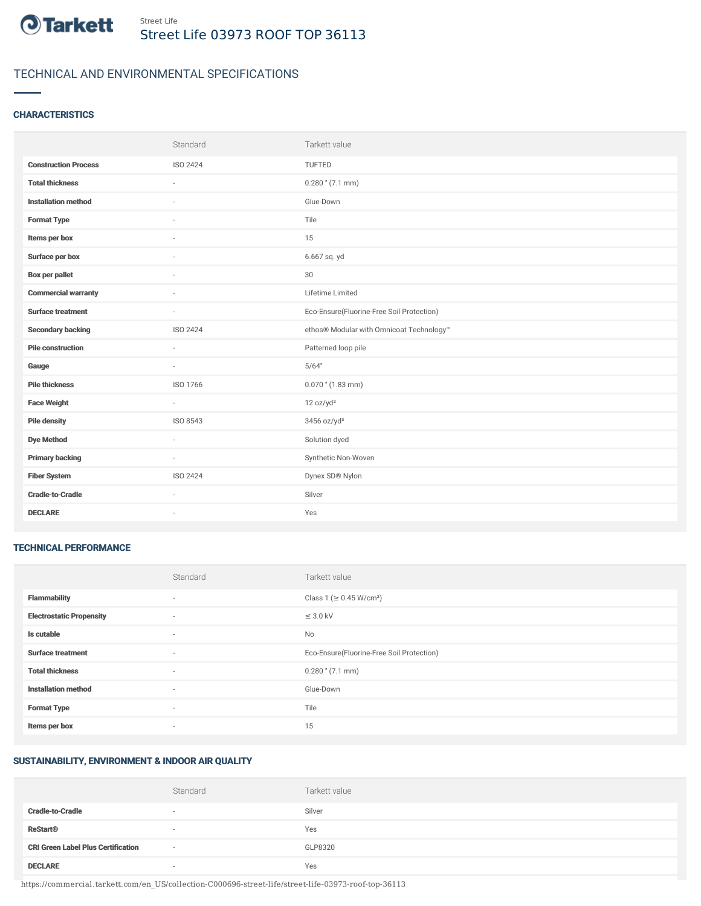

# TECHNICAL AND ENVIRONMENTAL SPECIFICATIONS

## **CHARACTERISTICS**

|                             | Standard | Tarkett value                             |
|-----------------------------|----------|-------------------------------------------|
| <b>Construction Process</b> | ISO 2424 | TUFTED                                    |
| <b>Total thickness</b>      |          | $0.280$ " (7.1 mm)                        |
| <b>Installation method</b>  | $\sim$   | Glue-Down                                 |
| <b>Format Type</b>          |          | Tile                                      |
| Items per box               |          | 15                                        |
| Surface per box             |          | 6.667 sq. yd                              |
| <b>Box per pallet</b>       | $\sim$   | 30                                        |
| <b>Commercial warranty</b>  | $\sim$   | Lifetime Limited                          |
| <b>Surface treatment</b>    | $\sim$   | Eco-Ensure(Fluorine-Free Soil Protection) |
| <b>Secondary backing</b>    | ISO 2424 | ethos® Modular with Omnicoat Technology™  |
| <b>Pile construction</b>    | $\sim$   | Patterned loop pile                       |
| Gauge                       | $\sim$   | 5/64"                                     |
| <b>Pile thickness</b>       | ISO 1766 | $0.070$ " (1.83 mm)                       |
| <b>Face Weight</b>          | $\sim$   | 12 oz/yd <sup>2</sup>                     |
| <b>Pile density</b>         | ISO 8543 | 3456 oz/yd <sup>3</sup>                   |
| <b>Dye Method</b>           | $\sim$   | Solution dyed                             |
| <b>Primary backing</b>      | $\sim$   | Synthetic Non-Woven                       |
| <b>Fiber System</b>         | ISO 2424 | Dynex SD® Nylon                           |
| <b>Cradle-to-Cradle</b>     | $\sim$   | Silver                                    |
| <b>DECLARE</b>              | ٠        | Yes                                       |

#### TECHNICAL PERFORMANCE

|                                 | Standard                 | Tarkett value                             |
|---------------------------------|--------------------------|-------------------------------------------|
| <b>Flammability</b>             | ٠                        | Class 1 (≥ 0.45 W/cm <sup>2</sup> )       |
| <b>Electrostatic Propensity</b> | $\sim$                   | $\leq$ 3.0 kV                             |
| Is cutable                      | $\overline{\phantom{a}}$ | No                                        |
| <b>Surface treatment</b>        | $\sim$                   | Eco-Ensure(Fluorine-Free Soil Protection) |
| <b>Total thickness</b>          | $\sim$                   | $0.280$ " (7.1 mm)                        |
| <b>Installation method</b>      | $\sim$                   | Glue-Down                                 |
| <b>Format Type</b>              | $\sim$                   | Tile                                      |
| Items per box                   | ٠                        | 15                                        |

#### SUSTAINABILITY, ENVIRONMENT & INDOOR AIR QUALITY

|                                           | Standard                 | Tarkett value |
|-------------------------------------------|--------------------------|---------------|
| <b>Cradle-to-Cradle</b>                   | $\overline{\phantom{a}}$ | Silver        |
| <b>ReStart®</b>                           | $\sim$                   | Yes           |
| <b>CRI Green Label Plus Certification</b> | $\overline{\phantom{a}}$ | GLP8320       |
| <b>DECLARE</b>                            | $\overline{\phantom{a}}$ | Yes           |

https://commercial.tarkett.com/en\_US/collection-C000696-street-life/street-life-03973-roof-top-36113